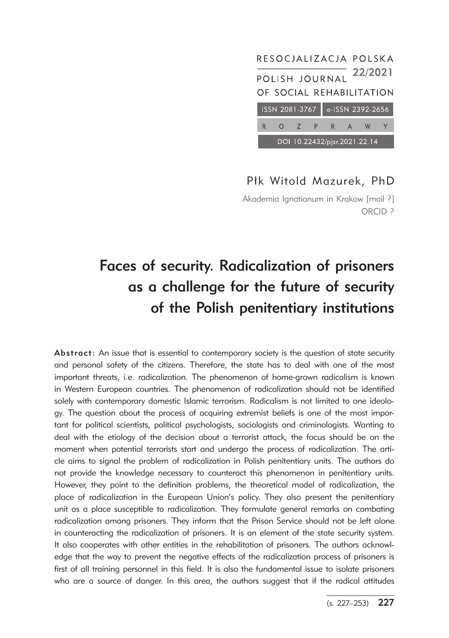

## Płk Witold Mazurek, PhD

Akademia Ignatianum in Krakow [mail ?] ORCID ?

# Faces of security. Radicalization of prisoners as a challenge for the future of security of the Polish penitentiary institutions

Abstract: An issue that is essential to contemporary society is the question of state security and personal safety of the citizens. Therefore, the state has to deal with one of the most important threats, i.e. radicalization. The phenomenon of home-grown radicalism is known in Western European countries. The phenomenon of radicalization should not be identified solely with contemporary domestic Islamic terrorism. Radicalism is not limited to one ideology. The question about the process of acquiring extremist beliefs is one of the most important for political scientists, political psychologists, sociologists and criminologists. Wanting to deal with the etiology of the decision about a terrorist attack, the focus should be on the moment when potential terrorists start and undergo the process of radicalization. The article aims to signal the problem of radicalization in Polish penitentiary units. The authors do not provide the knowledge necessary to counteract this phenomenon in penitentiary units. However, they point to the definition problems, the theoretical model of radicalization, the place of radicalization in the European Union's policy. They also present the penitentiary unit as a place susceptible to radicalization. They formulate general remarks on combating radicalization among prisoners. They inform that the Prison Service should not be left alone in counteracting the radicalization of prisoners. It is an element of the state security system. It also cooperates with other entities in the rehabilitation of prisoners. The authors acknowledge that the way to prevent the negative effects of the radicalization process of prisoners is first of all training personnel in this field. It is also the fundamental issue to isolate prisoners who are a source of danger. In this area, the authors suggest that if the radical attitudes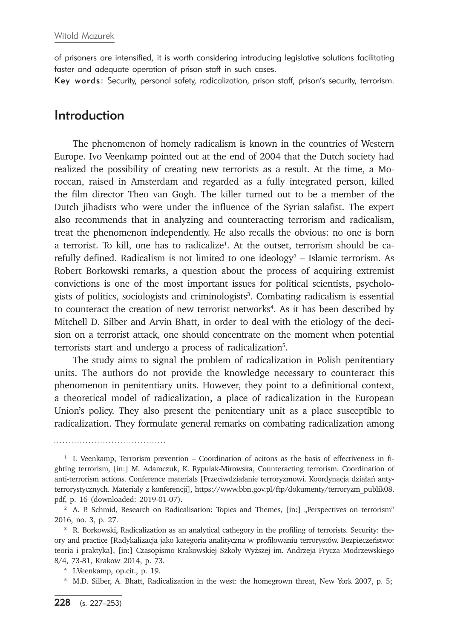of prisoners are intensified, it is worth considering introducing legislative solutions facilitating faster and adequate operation of prison staff in such cases.

Key words: Security, personal safety, radicalization, prison staff, prison's security, terrorism.

#### Introduction

The phenomenon of homely radicalism is known in the countries of Western Europe. Ivo Veenkamp pointed out at the end of 2004 that the Dutch society had realized the possibility of creating new terrorists as a result. At the time, a Moroccan, raised in Amsterdam and regarded as a fully integrated person, killed the film director Theo van Gogh. The killer turned out to be a member of the Dutch jihadists who were under the influence of the Syrian salafist. The expert also recommends that in analyzing and counteracting terrorism and radicalism, treat the phenomenon independently. He also recalls the obvious: no one is born a terrorist. To kill, one has to radicalize<sup>1</sup>. At the outset, terrorism should be carefully defined. Radicalism is not limited to one ideology<sup>2</sup> – Islamic terrorism. As Robert Borkowski remarks, a question about the process of acquiring extremist convictions is one of the most important issues for political scientists, psychologists of politics, sociologists and criminologists<sup>3</sup>. Combating radicalism is essential to counteract the creation of new terrorist networks<sup>4</sup>. As it has been described by Mitchell D. Silber and Arvin Bhatt, in order to deal with the etiology of the decision on a terrorist attack, one should concentrate on the moment when potential terrorists start and undergo a process of radicalization<sup>5</sup>.

The study aims to signal the problem of radicalization in Polish penitentiary units. The authors do not provide the knowledge necessary to counteract this phenomenon in penitentiary units. However, they point to a definitional context, a theoretical model of radicalization, a place of radicalization in the European Union's policy. They also present the penitentiary unit as a place susceptible to radicalization. They formulate general remarks on combating radicalization among

<sup>1</sup> I. Veenkamp, Terrorism prevention – Coordination of acitons as the basis of effectiveness in fighting terrorism, [in:] M. Adamczuk, K. Rypulak-Mirowska, Counteracting terrorism. Coordination of anti-terrorism actions. Conference materials [Przeciwdziałanie terroryzmowi. Koordynacja działań antyterrorystycznych. Materiały z konferencji], https://www.bbn.gov.pl/ftp/dokumenty/terroryzm\_publik08. pdf, p. 16 (downloaded: 2019-01-07).

<sup>&</sup>lt;sup>2</sup> A. P. Schmid, Research on Radicalisation: Topics and Themes, [in:] "Perspectives on terrorism" 2016, no. 3, p. 27.

<sup>&</sup>lt;sup>3</sup> R. Borkowski, Radicalization as an analytical cathegory in the profiling of terrorists. Security: theory and practice [Radykalizacja jako kategoria analityczna w profilowaniu terrorystów. Bezpieczeństwo: teoria i praktyka], [in:] Czasopismo Krakowskiej Szkoły Wyższej im. Andrzeja Frycza Modrzewskiego 8/4, 73-81, Krakow 2014, p. 73. 4 I.Veenkamp, op.cit., p. 19.

<sup>5</sup> M.D. Silber, A. Bhatt, Radicalization in the west: the homegrown threat, New York 2007, p. 5;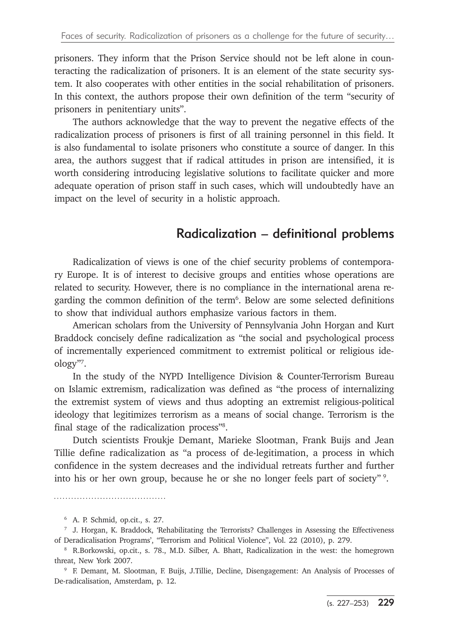prisoners. They inform that the Prison Service should not be left alone in counteracting the radicalization of prisoners. It is an element of the state security system. It also cooperates with other entities in the social rehabilitation of prisoners. In this context, the authors propose their own definition of the term "security of prisoners in penitentiary units".

The authors acknowledge that the way to prevent the negative effects of the radicalization process of prisoners is first of all training personnel in this field. It is also fundamental to isolate prisoners who constitute a source of danger. In this area, the authors suggest that if radical attitudes in prison are intensified, it is worth considering introducing legislative solutions to facilitate quicker and more adequate operation of prison staff in such cases, which will undoubtedly have an impact on the level of security in a holistic approach.

## Radicalization – definitional problems

Radicalization of views is one of the chief security problems of contemporary Europe. It is of interest to decisive groups and entities whose operations are related to security. However, there is no compliance in the international arena regarding the common definition of the term<sup>6</sup>. Below are some selected definitions to show that individual authors emphasize various factors in them.

American scholars from the University of Pennsylvania John Horgan and Kurt Braddock concisely define radicalization as "the social and psychological process of incrementally experienced commitment to extremist political or religious ideology"7 .

In the study of the NYPD Intelligence Division & Counter-Terrorism Bureau on Islamic extremism, radicalization was defined as "the process of internalizing the extremist system of views and thus adopting an extremist religious-political ideology that legitimizes terrorism as a means of social change. Terrorism is the final stage of the radicalization process"8 .

Dutch scientists Froukje Demant, Marieke Slootman, Frank Buijs and Jean Tillie define radicalization as "a process of de-legitimation, a process in which confidence in the system decreases and the individual retreats further and further into his or her own group, because he or she no longer feels part of society" 9.

<sup>6</sup> A. P. Schmid, op.cit., s. 27.

<sup>7</sup> J. Horgan, K. Braddock, 'Rehabilitating the Terrorists? Challenges in Assessing the Effectiveness of Deradicalisation Programs', "Terrorism and Political Violence", Vol. 22 (2010), p. 279.<br>8 R.Borkowski, op.cit., s. 78., M.D. Silber, A. Bhatt, Radicalization in the west: the homegrown

threat, New York 2007.

<sup>9</sup> F. Demant, M. Slootman, F. Buijs, J.Tillie, Decline, Disengagement: An Analysis of Processes of De-radicalisation, Amsterdam, p. 12.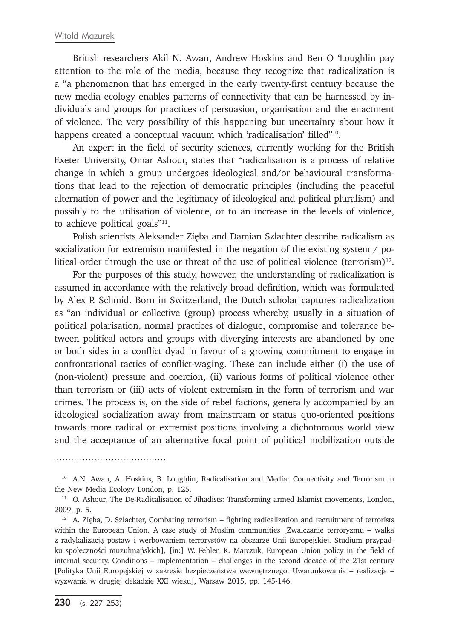British researchers Akil N. Awan, Andrew Hoskins and Ben O 'Loughlin pay attention to the role of the media, because they recognize that radicalization is a "a phenomenon that has emerged in the early twenty-first century because the new media ecology enables patterns of connectivity that can be harnessed by individuals and groups for practices of persuasion, organisation and the enactment of violence. The very possibility of this happening but uncertainty about how it happens created a conceptual vacuum which 'radicalisation' filled"<sup>10</sup>.

An expert in the field of security sciences, currently working for the British Exeter University, Omar Ashour, states that "radicalisation is a process of relative change in which a group undergoes ideological and/or behavioural transformations that lead to the rejection of democratic principles (including the peaceful alternation of power and the legitimacy of ideological and political pluralism) and possibly to the utilisation of violence, or to an increase in the levels of violence, to achieve political goals"11.

Polish scientists Aleksander Zięba and Damian Szlachter describe radicalism as socialization for extremism manifested in the negation of the existing system / political order through the use or threat of the use of political violence (terrorism)<sup>12</sup>.

For the purposes of this study, however, the understanding of radicalization is assumed in accordance with the relatively broad definition, which was formulated by Alex P. Schmid. Born in Switzerland, the Dutch scholar captures radicalization as "an individual or collective (group) process whereby, usually in a situation of political polarisation, normal practices of dialogue, compromise and tolerance between political actors and groups with diverging interests are abandoned by one or both sides in a conflict dyad in favour of a growing commitment to engage in confrontational tactics of conflict-waging. These can include either (i) the use of (non-violent) pressure and coercion, (ii) various forms of political violence other than terrorism or (iii) acts of violent extremism in the form of terrorism and war crimes. The process is, on the side of rebel factions, generally accompanied by an ideological socialization away from mainstream or status quo-oriented positions towards more radical or extremist positions involving a dichotomous world view and the acceptance of an alternative focal point of political mobilization outside

<sup>&</sup>lt;sup>10</sup> A.N. Awan, A. Hoskins, B. Loughlin, Radicalisation and Media: Connectivity and Terrorism in the New Media Ecology London, p. 125.

<sup>&</sup>lt;sup>11</sup> O. Ashour, The De-Radicalisation of Jihadists: Transforming armed Islamist movements, London, 2009, p. 5.

 $12$  A. Zieba, D. Szlachter, Combating terrorism – fighting radicalization and recruitment of terrorists within the European Union. A case study of Muslim communities [Zwalczanie terroryzmu – walka z radykalizacją postaw i werbowaniem terrorystów na obszarze Unii Europejskiej. Studium przypadku społeczności muzułmańskich], [in:] W. Fehler, K. Marczuk, European Union policy in the field of internal security. Conditions – implementation – challenges in the second decade of the 21st century [Polityka Unii Europejskiej w zakresie bezpieczeństwa wewnętrznego. Uwarunkowania – realizacja – wyzwania w drugiej dekadzie XXI wieku], Warsaw 2015, pp. 145-146.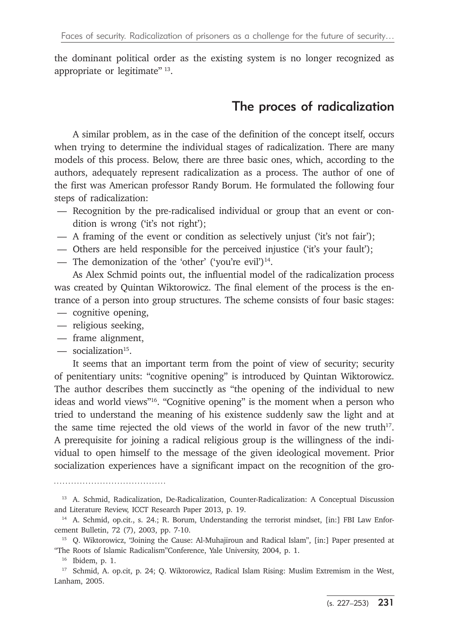the dominant political order as the existing system is no longer recognized as appropriate or legitimate" 13.

## The proces of radicalization

A similar problem, as in the case of the definition of the concept itself, occurs when trying to determine the individual stages of radicalization. There are many models of this process. Below, there are three basic ones, which, according to the authors, adequately represent radicalization as a process. The author of one of the first was American professor Randy Borum. He formulated the following four steps of radicalization:

- Recognition by the pre-radicalised individual or group that an event or condition is wrong ('it's not right');
- A framing of the event or condition as selectively unjust ('it's not fair');
- Others are held responsible for the perceived injustice ('it's your fault');
- The demonization of the 'other' ('you're evil') $14$ .

As Alex Schmid points out, the influential model of the radicalization process was created by Quintan Wiktorowicz. The final element of the process is the entrance of a person into group structures. The scheme consists of four basic stages:

- cognitive opening,
- religious seeking,
- frame alignment,
- $\sim$  socialization<sup>15</sup>.

It seems that an important term from the point of view of security; security of penitentiary units: "cognitive opening" is introduced by Quintan Wiktorowicz. The author describes them succinctly as "the opening of the individual to new ideas and world views"16. "Cognitive opening" is the moment when a person who tried to understand the meaning of his existence suddenly saw the light and at the same time rejected the old views of the world in favor of the new truth17. A prerequisite for joining a radical religious group is the willingness of the individual to open himself to the message of the given ideological movement. Prior socialization experiences have a significant impact on the recognition of the gro-

<sup>13</sup> A. Schmid, Radicalization, De-Radicalization, Counter-Radicalization: A Conceptual Discussion and Literature Review, ICCT Research Paper 2013, p. 19.

<sup>&</sup>lt;sup>14</sup> A. Schmid, op.cit., s. 24.; R. Borum, Understanding the terrorist mindset, [in:] FBI Law Enforcement Bulletin, 72 (7), 2003, pp. 7-10.

<sup>&</sup>lt;sup>15</sup> Q. Wiktorowicz, "Joining the Cause: Al-Muhajiroun and Radical Islam", [in:] Paper presented at "The Roots of Islamic Radicalism"Conference, Yale University, 2004, p. 1.

<sup>&</sup>lt;sup>16</sup> Ibidem, p. 1.<br><sup>17</sup> Schmid, A. op.cit, p. 24; Q. Wiktorowicz, Radical Islam Rising: Muslim Extremism in the West, Lanham, 2005.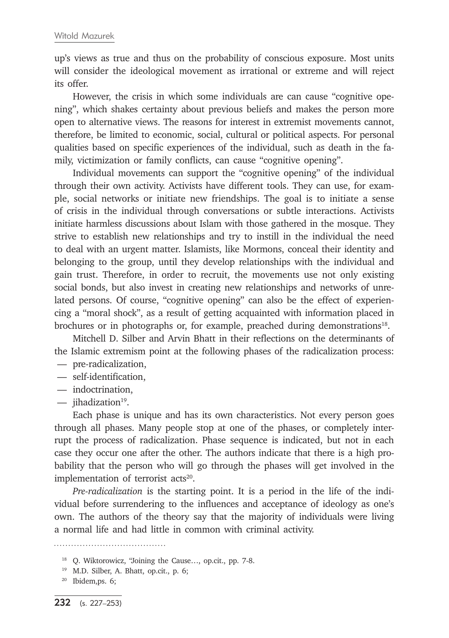up's views as true and thus on the probability of conscious exposure. Most units will consider the ideological movement as irrational or extreme and will reject its offer.

However, the crisis in which some individuals are can cause "cognitive opening", which shakes certainty about previous beliefs and makes the person more open to alternative views. The reasons for interest in extremist movements cannot, therefore, be limited to economic, social, cultural or political aspects. For personal qualities based on specific experiences of the individual, such as death in the family, victimization or family conflicts, can cause "cognitive opening".

Individual movements can support the "cognitive opening" of the individual through their own activity. Activists have different tools. They can use, for example, social networks or initiate new friendships. The goal is to initiate a sense of crisis in the individual through conversations or subtle interactions. Activists initiate harmless discussions about Islam with those gathered in the mosque. They strive to establish new relationships and try to instill in the individual the need to deal with an urgent matter. Islamists, like Mormons, conceal their identity and belonging to the group, until they develop relationships with the individual and gain trust. Therefore, in order to recruit, the movements use not only existing social bonds, but also invest in creating new relationships and networks of unrelated persons. Of course, "cognitive opening" can also be the effect of experiencing a "moral shock", as a result of getting acquainted with information placed in brochures or in photographs or, for example, preached during demonstrations<sup>18</sup>.

Mitchell D. Silber and Arvin Bhatt in their reflections on the determinants of the Islamic extremism point at the following phases of the radicalization process:

- pre-radicalization,
- self-identification,
- indoctrination,
- $-$  iihadization<sup>19</sup>.

Each phase is unique and has its own characteristics. Not every person goes through all phases. Many people stop at one of the phases, or completely interrupt the process of radicalization. Phase sequence is indicated, but not in each case they occur one after the other. The authors indicate that there is a high probability that the person who will go through the phases will get involved in the implementation of terrorist  $acts<sup>20</sup>$ .

*Pre-radicalization* is the starting point. It is a period in the life of the individual before surrendering to the influences and acceptance of ideology as one's own. The authors of the theory say that the majority of individuals were living a normal life and had little in common with criminal activity.

<sup>18</sup> Q. Wiktorowicz, "Joining the Cause…, op.cit., pp. 7-8.

<sup>19</sup> M.D. Silber, A. Bhatt, op.cit., p. 6;

<sup>20</sup> Ibidem,ps. 6;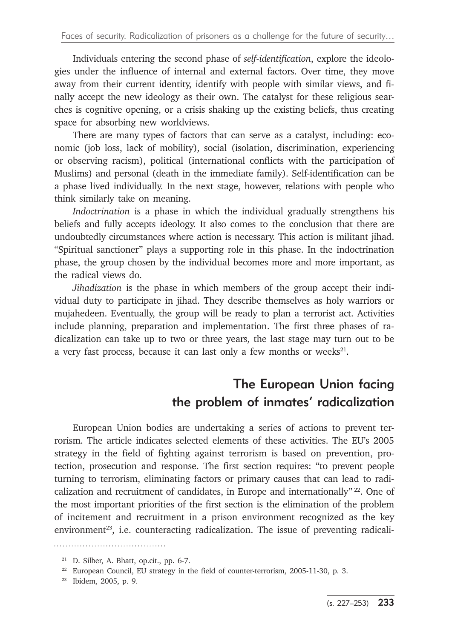Individuals entering the second phase of *self-identification*, explore the ideologies under the influence of internal and external factors. Over time, they move away from their current identity, identify with people with similar views, and finally accept the new ideology as their own. The catalyst for these religious searches is cognitive opening, or a crisis shaking up the existing beliefs, thus creating space for absorbing new worldviews.

There are many types of factors that can serve as a catalyst, including: economic (job loss, lack of mobility), social (isolation, discrimination, experiencing or observing racism), political (international conflicts with the participation of Muslims) and personal (death in the immediate family). Self-identification can be a phase lived individually. In the next stage, however, relations with people who think similarly take on meaning.

*Indoctrination* is a phase in which the individual gradually strengthens his beliefs and fully accepts ideology. It also comes to the conclusion that there are undoubtedly circumstances where action is necessary. This action is militant jihad. "Spiritual sanctioner" plays a supporting role in this phase. In the indoctrination phase, the group chosen by the individual becomes more and more important, as the radical views do.

*Jihadization* is the phase in which members of the group accept their individual duty to participate in jihad. They describe themselves as holy warriors or mujahedeen. Eventually, the group will be ready to plan a terrorist act. Activities include planning, preparation and implementation. The first three phases of radicalization can take up to two or three years, the last stage may turn out to be a very fast process, because it can last only a few months or weeks<sup>21</sup>.

## The European Union facing the problem of inmates' radicalization

European Union bodies are undertaking a series of actions to prevent terrorism. The article indicates selected elements of these activities. The EU's 2005 strategy in the field of fighting against terrorism is based on prevention, protection, prosecution and response. The first section requires: "to prevent people turning to terrorism, eliminating factors or primary causes that can lead to radicalization and recruitment of candidates, in Europe and internationally"  $^{22}$ . One of the most important priorities of the first section is the elimination of the problem of incitement and recruitment in a prison environment recognized as the key environment<sup>23</sup>, i.e. counteracting radicalization. The issue of preventing radicali-

<sup>21</sup> D. Silber, A. Bhatt, op.cit., pp. 6-7.

<sup>&</sup>lt;sup>22</sup> European Council, EU strategy in the field of counter-terrorism, 2005-11-30, p. 3.<br><sup>23</sup> Ibidem, 2005, p. 9.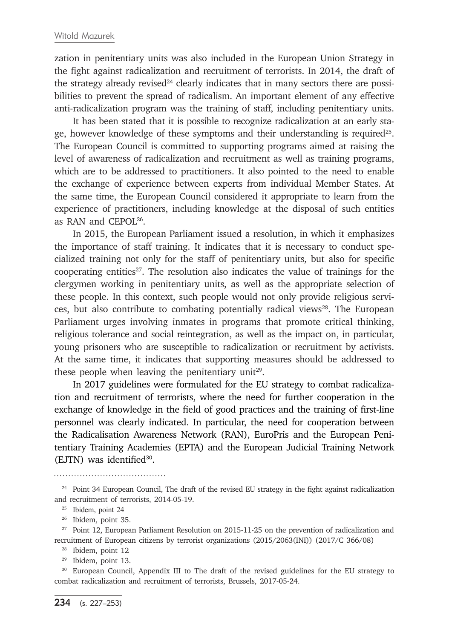zation in penitentiary units was also included in the European Union Strategy in the fight against radicalization and recruitment of terrorists. In 2014, the draft of the strategy already revised<sup>24</sup> clearly indicates that in many sectors there are possibilities to prevent the spread of radicalism. An important element of any effective anti-radicalization program was the training of staff, including penitentiary units.

It has been stated that it is possible to recognize radicalization at an early stage, however knowledge of these symptoms and their understanding is required25. The European Council is committed to supporting programs aimed at raising the level of awareness of radicalization and recruitment as well as training programs, which are to be addressed to practitioners. It also pointed to the need to enable the exchange of experience between experts from individual Member States. At the same time, the European Council considered it appropriate to learn from the experience of practitioners, including knowledge at the disposal of such entities as RAN and CEPOL26.

In 2015, the European Parliament issued a resolution, in which it emphasizes the importance of staff training. It indicates that it is necessary to conduct specialized training not only for the staff of penitentiary units, but also for specific cooperating entities27. The resolution also indicates the value of trainings for the clergymen working in penitentiary units, as well as the appropriate selection of these people. In this context, such people would not only provide religious services, but also contribute to combating potentially radical views $28$ . The European Parliament urges involving inmates in programs that promote critical thinking, religious tolerance and social reintegration, as well as the impact on, in particular, young prisoners who are susceptible to radicalization or recruitment by activists. At the same time, it indicates that supporting measures should be addressed to these people when leaving the penitentiary unit<sup>29</sup>.

In 2017 guidelines were formulated for the EU strategy to combat radicalization and recruitment of terrorists, where the need for further cooperation in the exchange of knowledge in the field of good practices and the training of first-line personnel was clearly indicated. In particular, the need for cooperation between the Radicalisation Awareness Network (RAN), EuroPris and the European Penitentiary Training Academies (EPTA) and the European Judicial Training Network (EJTN) was identified<sup>30</sup>.

<sup>&</sup>lt;sup>24</sup> Point 34 European Council, The draft of the revised EU strategy in the fight against radicalization and recruitment of terrorists, 2014-05-19.

<sup>25</sup> Ibidem, point 24

<sup>&</sup>lt;sup>26</sup> Ibidem, point 35.<br><sup>27</sup> Point 12, European Parliament Resolution on 2015-11-25 on the prevention of radicalization and recruitment of European citizens by terrorist organizations (2015/2063(INI)) (2017/C 366/08)

 $28$  Ibidem, point 12<br> $29$  Ibidem, point 13.

<sup>&</sup>lt;sup>30</sup> European Council, Appendix III to The draft of the revised guidelines for the EU strategy to combat radicalization and recruitment of terrorists, Brussels, 2017-05-24.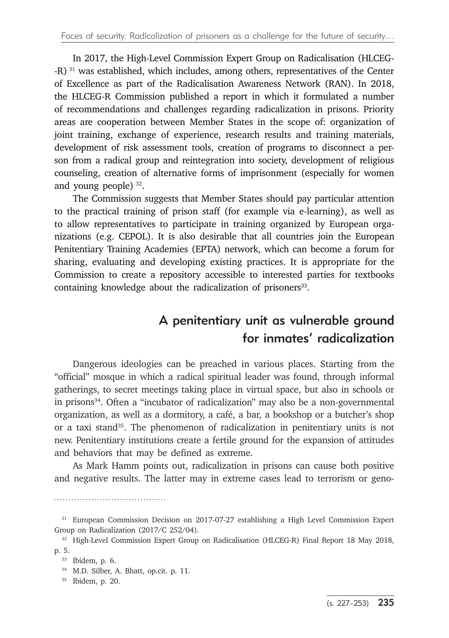In 2017, the High-Level Commission Expert Group on Radicalisation (HLCEG- -R) 31 was established, which includes, among others, representatives of the Center of Excellence as part of the Radicalisation Awareness Network (RAN). In 2018, the HLCEG-R Commission published a report in which it formulated a number of recommendations and challenges regarding radicalization in prisons. Priority areas are cooperation between Member States in the scope of: organization of joint training, exchange of experience, research results and training materials, development of risk assessment tools, creation of programs to disconnect a person from a radical group and reintegration into society, development of religious counseling, creation of alternative forms of imprisonment (especially for women and young people) 32.

The Commission suggests that Member States should pay particular attention to the practical training of prison staff (for example via e-learning), as well as to allow representatives to participate in training organized by European organizations (e.g. CEPOL). It is also desirable that all countries join the European Penitentiary Training Academies (EPTA) network, which can become a forum for sharing, evaluating and developing existing practices. It is appropriate for the Commission to create a repository accessible to interested parties for textbooks containing knowledge about the radicalization of prisoners<sup>33</sup>.

## A penitentiary unit as vulnerable ground for inmates' radicalization

Dangerous ideologies can be preached in various places. Starting from the "official" mosque in which a radical spiritual leader was found, through informal gatherings, to secret meetings taking place in virtual space, but also in schools or in prisons<sup>34</sup>. Often a "incubator of radicalization" may also be a non-governmental organization, as well as a dormitory, a café, a bar, a bookshop or a butcher's shop or a taxi stand<sup>35</sup>. The phenomenon of radicalization in penitentiary units is not new. Penitentiary institutions create a fertile ground for the expansion of attitudes and behaviors that may be defined as extreme.

As Mark Hamm points out, radicalization in prisons can cause both positive and negative results. The latter may in extreme cases lead to terrorism or geno-

<sup>&</sup>lt;sup>31</sup> European Commission Decision on 2017-07-27 establishing a High Level Commission Expert Group on Radicalization (2017/C 252/04).

<sup>&</sup>lt;sup>32</sup> High-Level Commission Expert Group on Radicalisation (HLCEG-R) Final Report 18 May 2018, p. 5.

<sup>33</sup> Ibidem, p. 6.

<sup>34</sup> M.D. Silber, A. Bhatt, op.cit. p. 11.

<sup>35</sup> Ibidem, p. 20.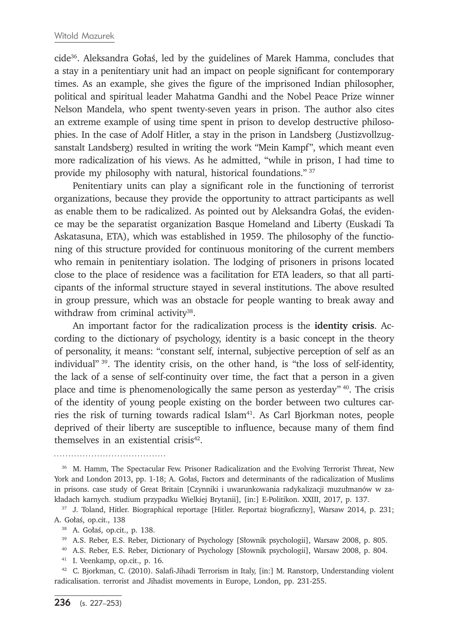cide36. Aleksandra Gołaś, led by the guidelines of Marek Hamma, concludes that a stay in a penitentiary unit had an impact on people significant for contemporary times. As an example, she gives the figure of the imprisoned Indian philosopher, political and spiritual leader Mahatma Gandhi and the Nobel Peace Prize winner Nelson Mandela, who spent twenty-seven years in prison. The author also cites an extreme example of using time spent in prison to develop destructive philosophies. In the case of Adolf Hitler, a stay in the prison in Landsberg (Justizvollzugsanstalt Landsberg) resulted in writing the work "Mein Kampf", which meant even more radicalization of his views. As he admitted, "while in prison, I had time to provide my philosophy with natural, historical foundations." 37

Penitentiary units can play a significant role in the functioning of terrorist organizations, because they provide the opportunity to attract participants as well as enable them to be radicalized. As pointed out by Aleksandra Gołaś, the evidence may be the separatist organization Basque Homeland and Liberty (Euskadi Ta Askatasuna, ETA), which was established in 1959. The philosophy of the functioning of this structure provided for continuous monitoring of the current members who remain in penitentiary isolation. The lodging of prisoners in prisons located close to the place of residence was a facilitation for ETA leaders, so that all participants of the informal structure stayed in several institutions. The above resulted in group pressure, which was an obstacle for people wanting to break away and withdraw from criminal activity<sup>38</sup>.

An important factor for the radicalization process is the **identity crisis**. According to the dictionary of psychology, identity is a basic concept in the theory of personality, it means: "constant self, internal, subjective perception of self as an individual" 39. The identity crisis, on the other hand, is "the loss of self-identity, the lack of a sense of self-continuity over time, the fact that a person in a given place and time is phenomenologically the same person as yesterday" 40. The crisis of the identity of young people existing on the border between two cultures carries the risk of turning towards radical Islam<sup>41</sup>. As Carl Bjorkman notes, people deprived of their liberty are susceptible to influence, because many of them find themselves in an existential crisis42.

<sup>37</sup> J. Toland, Hitler. Biographical reportage [Hitler. Reportaż biograficzny], Warsaw 2014, p. 231; A. Gołaś, op.cit., 138

<sup>38</sup> A. Gołaś, op.cit., p. 138.

<sup>39</sup> A.S. Reber, E.S. Reber, Dictionary of Psychology [Słownik psychologii], Warsaw 2008, p. 805. <sup>40</sup> A.S. Reber, E.S. Reber, Dictionary of Psychology [Słownik psychologii], Warsaw 2008, p. 804.

<sup>41</sup> I. Veenkamp, op.cit., p. 16.<br><sup>42</sup> C. Bjorkman, C. (2010). Salafi-Jihadi Terrorism in Italy, [in:] M. Ranstorp, Understanding violent radicalisation. terrorist and Jihadist movements in Europe, London, pp. 231-255.

<sup>&</sup>lt;sup>36</sup> M. Hamm, The Spectacular Few. Prisoner Radicalization and the Evolving Terrorist Threat, New York and London 2013, pp. 1-18; A. Gołaś, Factors and determinants of the radicalization of Muslims in prisons. case study of Great Britain [Czynniki i uwarunkowania radykalizacji muzułmanów w zakładach karnych. studium przypadku Wielkiej Brytanii], [in:] E-Politikon. XXIII, 2017, p. 137.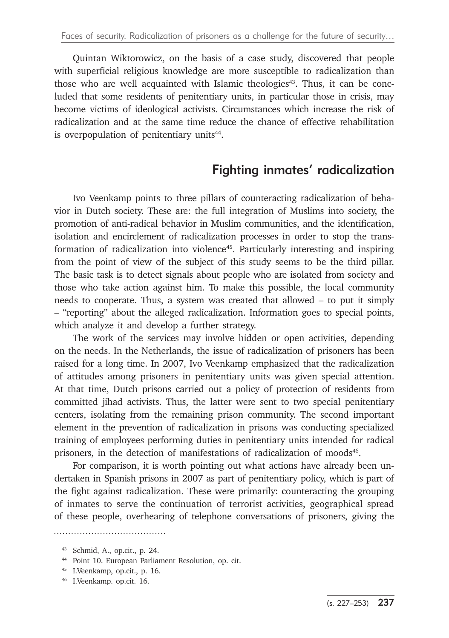Quintan Wiktorowicz, on the basis of a case study, discovered that people with superficial religious knowledge are more susceptible to radicalization than those who are well acquainted with Islamic theologies<sup>43</sup>. Thus, it can be concluded that some residents of penitentiary units, in particular those in crisis, may become victims of ideological activists. Circumstances which increase the risk of radicalization and at the same time reduce the chance of effective rehabilitation is overpopulation of penitentiary units<sup>44</sup>.

## Fighting inmates' radicalization

Ivo Veenkamp points to three pillars of counteracting radicalization of behavior in Dutch society. These are: the full integration of Muslims into society, the promotion of anti-radical behavior in Muslim communities, and the identification, isolation and encirclement of radicalization processes in order to stop the transformation of radicalization into violence45. Particularly interesting and inspiring from the point of view of the subject of this study seems to be the third pillar. The basic task is to detect signals about people who are isolated from society and those who take action against him. To make this possible, the local community needs to cooperate. Thus, a system was created that allowed – to put it simply – "reporting" about the alleged radicalization. Information goes to special points, which analyze it and develop a further strategy.

The work of the services may involve hidden or open activities, depending on the needs. In the Netherlands, the issue of radicalization of prisoners has been raised for a long time. In 2007, Ivo Veenkamp emphasized that the radicalization of attitudes among prisoners in penitentiary units was given special attention. At that time, Dutch prisons carried out a policy of protection of residents from committed jihad activists. Thus, the latter were sent to two special penitentiary centers, isolating from the remaining prison community. The second important element in the prevention of radicalization in prisons was conducting specialized training of employees performing duties in penitentiary units intended for radical prisoners, in the detection of manifestations of radicalization of moods<sup>46</sup>.

For comparison, it is worth pointing out what actions have already been undertaken in Spanish prisons in 2007 as part of penitentiary policy, which is part of the fight against radicalization. These were primarily: counteracting the grouping of inmates to serve the continuation of terrorist activities, geographical spread of these people, overhearing of telephone conversations of prisoners, giving the

<sup>43</sup> Schmid, A., op.cit., p. 24. 44 Point 10. European Parliament Resolution, op. cit. 45 I.Veenkamp, op.cit., p. 16.

<sup>46</sup> I.Veenkamp. op.cit. 16.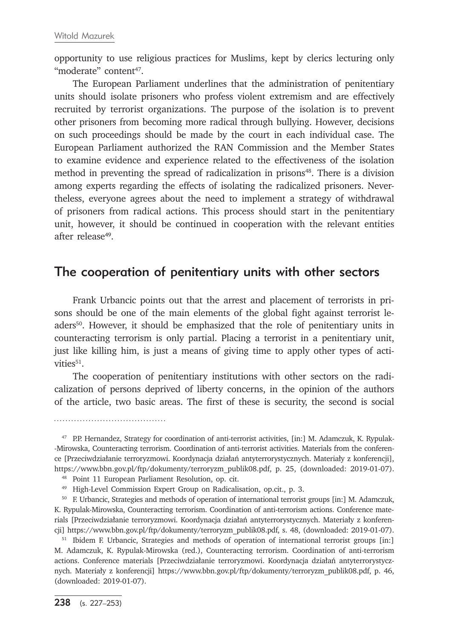opportunity to use religious practices for Muslims, kept by clerics lecturing only "moderate" content<sup>47</sup>.

The European Parliament underlines that the administration of penitentiary units should isolate prisoners who profess violent extremism and are effectively recruited by terrorist organizations. The purpose of the isolation is to prevent other prisoners from becoming more radical through bullying. However, decisions on such proceedings should be made by the court in each individual case. The European Parliament authorized the RAN Commission and the Member States to examine evidence and experience related to the effectiveness of the isolation method in preventing the spread of radicalization in prisons<sup>48</sup>. There is a division among experts regarding the effects of isolating the radicalized prisoners. Nevertheless, everyone agrees about the need to implement a strategy of withdrawal of prisoners from radical actions. This process should start in the penitentiary unit, however, it should be continued in cooperation with the relevant entities after release49.

#### The cooperation of penitentiary units with other sectors

Frank Urbancic points out that the arrest and placement of terrorists in prisons should be one of the main elements of the global fight against terrorist leaders<sup>50</sup>. However, it should be emphasized that the role of penitentiary units in counteracting terrorism is only partial. Placing a terrorist in a penitentiary unit, just like killing him, is just a means of giving time to apply other types of activities<sup>51</sup>.

The cooperation of penitentiary institutions with other sectors on the radicalization of persons deprived of liberty concerns, in the opinion of the authors of the article, two basic areas. The first of these is security, the second is social

<sup>47</sup> P.P. Hernandez, Strategy for coordination of anti-terrorist activities, [in:] M. Adamczuk, K. Rypulak- -Mirowska, Counteracting terrorism. Coordination of anti-terrorist activities. Materials from the conference [Przeciwdziałanie terroryzmowi. Koordynacja działań antyterrorystycznych. Materiały z konferencji], https://www.bbn.gov.pl/ftp/dokumenty/terroryzm\_publik08.pdf, p. 25, (downloaded: 2019-01-07).

<sup>48</sup> Point 11 European Parliament Resolution, op. cit.

<sup>&</sup>lt;sup>49</sup> High-Level Commission Expert Group on Radicalisation, op.cit., p. 3.<br><sup>50</sup> F. Urbancic, Strategies and methods of operation of international terrorist groups [in:] M. Adamczuk, K. Rypulak-Mirowska, Counteracting terrorism. Coordination of anti-terrorism actions. Conference materials [Przeciwdziałanie terroryzmowi. Koordynacja działań antyterrorystycznych. Materiały z konferencji] https://www.bbn.gov.pl/ftp/dokumenty/terroryzm\_publik08.pdf, s. 48, (downloaded: 2019-01-07).

<sup>&</sup>lt;sup>51</sup> Ibidem F. Urbancic, Strategies and methods of operation of international terrorist groups [in:] M. Adamczuk, K. Rypulak-Mirowska (red.), Counteracting terrorism. Coordination of anti-terrorism actions. Conference materials [Przeciwdziałanie terroryzmowi. Koordynacja działań antyterrorystycznych. Materiały z konferencji] https://www.bbn.gov.pl/ftp/dokumenty/terroryzm\_publik08.pdf, p. 46, (downloaded: 2019-01-07).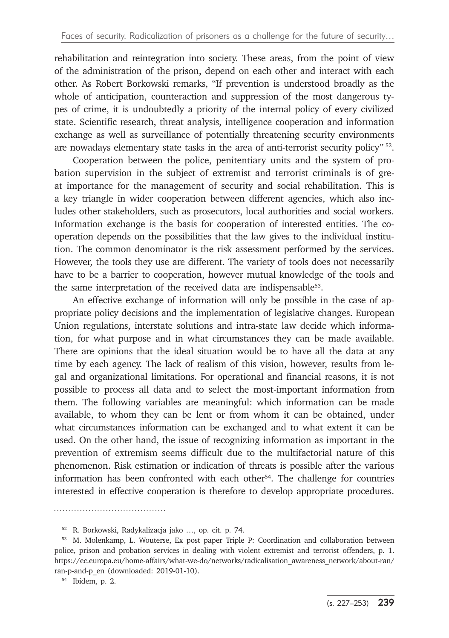rehabilitation and reintegration into society. These areas, from the point of view of the administration of the prison, depend on each other and interact with each other. As Robert Borkowski remarks, "If prevention is understood broadly as the whole of anticipation, counteraction and suppression of the most dangerous types of crime, it is undoubtedly a priority of the internal policy of every civilized state. Scientific research, threat analysis, intelligence cooperation and information exchange as well as surveillance of potentially threatening security environments are nowadays elementary state tasks in the area of anti-terrorist security policy" 52.

Cooperation between the police, penitentiary units and the system of probation supervision in the subject of extremist and terrorist criminals is of great importance for the management of security and social rehabilitation. This is a key triangle in wider cooperation between different agencies, which also includes other stakeholders, such as prosecutors, local authorities and social workers. Information exchange is the basis for cooperation of interested entities. The cooperation depends on the possibilities that the law gives to the individual institution. The common denominator is the risk assessment performed by the services. However, the tools they use are different. The variety of tools does not necessarily have to be a barrier to cooperation, however mutual knowledge of the tools and the same interpretation of the received data are indispensable<sup>53</sup>.

An effective exchange of information will only be possible in the case of appropriate policy decisions and the implementation of legislative changes. European Union regulations, interstate solutions and intra-state law decide which information, for what purpose and in what circumstances they can be made available. There are opinions that the ideal situation would be to have all the data at any time by each agency. The lack of realism of this vision, however, results from legal and organizational limitations. For operational and financial reasons, it is not possible to process all data and to select the most-important information from them. The following variables are meaningful: which information can be made available, to whom they can be lent or from whom it can be obtained, under what circumstances information can be exchanged and to what extent it can be used. On the other hand, the issue of recognizing information as important in the prevention of extremism seems difficult due to the multifactorial nature of this phenomenon. Risk estimation or indication of threats is possible after the various information has been confronted with each other $54$ . The challenge for countries interested in effective cooperation is therefore to develop appropriate procedures.

<sup>52</sup> R. Borkowski, Radykalizacja jako …, op. cit. p. 74.

<sup>53</sup> M. Molenkamp, L. Wouterse, Ex post paper Triple P: Coordination and collaboration between police, prison and probation services in dealing with violent extremist and terrorist offenders, p. 1. https://ec.europa.eu/home-affairs/what-we-do/networks/radicalisation\_awareness\_network/about-ran/ ran-p-and-p\_en (downloaded: 2019-01-10).

<sup>54</sup> Ibidem, p. 2.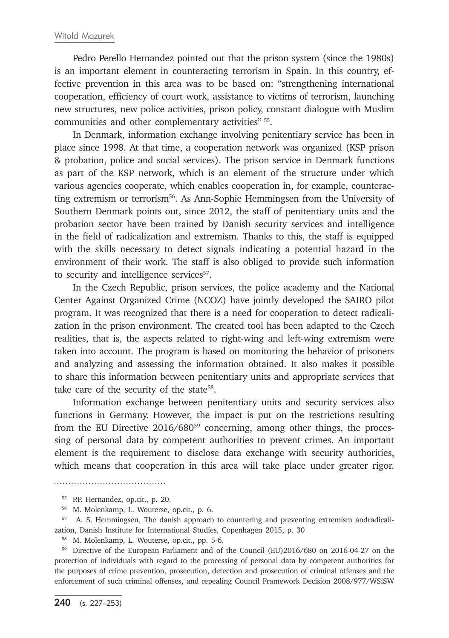Pedro Perello Hernandez pointed out that the prison system (since the 1980s) is an important element in counteracting terrorism in Spain. In this country, effective prevention in this area was to be based on: "strengthening international cooperation, efficiency of court work, assistance to victims of terrorism, launching new structures, new police activities, prison policy, constant dialogue with Muslim communities and other complementary activities" 55.

In Denmark, information exchange involving penitentiary service has been in place since 1998. At that time, a cooperation network was organized (KSP prison & probation, police and social services). The prison service in Denmark functions as part of the KSP network, which is an element of the structure under which various agencies cooperate, which enables cooperation in, for example, counteracting extremism or terrorism<sup>56</sup>. As Ann-Sophie Hemmingsen from the University of Southern Denmark points out, since 2012, the staff of penitentiary units and the probation sector have been trained by Danish security services and intelligence in the field of radicalization and extremism. Thanks to this, the staff is equipped with the skills necessary to detect signals indicating a potential hazard in the environment of their work. The staff is also obliged to provide such information to security and intelligence services<sup>57</sup>.

In the Czech Republic, prison services, the police academy and the National Center Against Organized Crime (NCOZ) have jointly developed the SAIRO pilot program. It was recognized that there is a need for cooperation to detect radicalization in the prison environment. The created tool has been adapted to the Czech realities, that is, the aspects related to right-wing and left-wing extremism were taken into account. The program is based on monitoring the behavior of prisoners and analyzing and assessing the information obtained. It also makes it possible to share this information between penitentiary units and appropriate services that take care of the security of the state<sup>58</sup>.

Information exchange between penitentiary units and security services also functions in Germany. However, the impact is put on the restrictions resulting from the EU Directive 2016/68059 concerning, among other things, the processing of personal data by competent authorities to prevent crimes. An important element is the requirement to disclose data exchange with security authorities, which means that cooperation in this area will take place under greater rigor.

<sup>58</sup> M. Molenkamp, L. Wouterse, op.cit., pp. 5-6.

<sup>59</sup> Directive of the European Parliament and of the Council (EU)2016/680 on 2016-04-27 on the protection of individuals with regard to the processing of personal data by competent authorities for the purposes of crime prevention, prosecution, detection and prosecution of criminal offenses and the enforcement of such criminal offenses, and repealing Council Framework Decision 2008/977/WSiSW

<sup>55</sup> P.P. Hernandez, op.cit., p. 20.

<sup>56</sup> M. Molenkamp, L. Wouterse, op.cit., p. 6.

<sup>&</sup>lt;sup>57</sup> A. S. Hemmingsen, The danish approach to countering and preventing extremism andradicalization, Danish Institute for International Studies, Copenhagen 2015, p. 30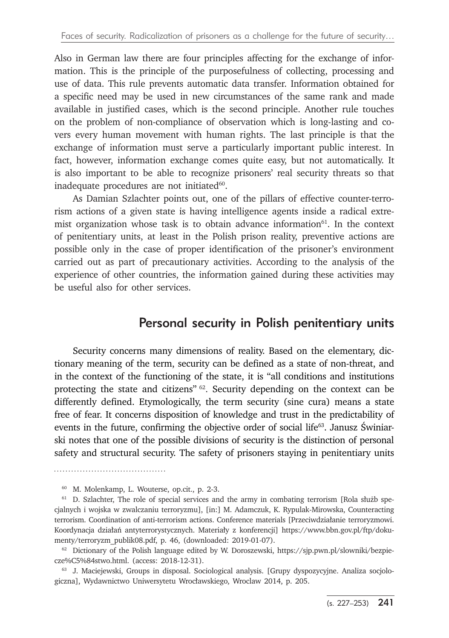Also in German law there are four principles affecting for the exchange of information. This is the principle of the purposefulness of collecting, processing and use of data. This rule prevents automatic data transfer. Information obtained for a specific need may be used in new circumstances of the same rank and made available in justified cases, which is the second principle. Another rule touches on the problem of non-compliance of observation which is long-lasting and covers every human movement with human rights. The last principle is that the exchange of information must serve a particularly important public interest. In fact, however, information exchange comes quite easy, but not automatically. It is also important to be able to recognize prisoners' real security threats so that inadequate procedures are not initiated<sup>60</sup>.

As Damian Szlachter points out, one of the pillars of effective counter-terrorism actions of a given state is having intelligence agents inside a radical extremist organization whose task is to obtain advance information $61$ . In the context of penitentiary units, at least in the Polish prison reality, preventive actions are possible only in the case of proper identification of the prisoner's environment carried out as part of precautionary activities. According to the analysis of the experience of other countries, the information gained during these activities may be useful also for other services.

#### Personal security in Polish penitentiary units

Security concerns many dimensions of reality. Based on the elementary, dictionary meaning of the term, security can be defined as a state of non-threat, and in the context of the functioning of the state, it is "all conditions and institutions protecting the state and citizens"  $62$ . Security depending on the context can be differently defined. Etymologically, the term security (sine cura) means a state free of fear. It concerns disposition of knowledge and trust in the predictability of events in the future, confirming the objective order of social life<sup>63</sup>. Janusz Świniarski notes that one of the possible divisions of security is the distinction of personal safety and structural security. The safety of prisoners staying in penitentiary units

<sup>60</sup> M. Molenkamp, L. Wouterse, op.cit., p. 2-3.

<sup>&</sup>lt;sup>61</sup> D. Szlachter, The role of special services and the army in combating terrorism [Rola służb specjalnych i wojska w zwalczaniu terroryzmu], [in:] M. Adamczuk, K. Rypulak-Mirowska, Counteracting terrorism. Coordination of anti-terrorism actions. Conference materials [Przeciwdziałanie terroryzmowi. Koordynacja działań antyterrorystycznych. Materiały z konferencji] https://www.bbn.gov.pl/ftp/dokumenty/terroryzm\_publik08.pdf, p. 46, (downloaded: 2019-01-07).

 $62$  Dictionary of the Polish language edited by W. Doroszewski, https://sjp.pwn.pl/slowniki/bezpiecze%C5%84stwo.html. (access: 2018-12-31).

<sup>&</sup>lt;sup>63</sup> J. Maciejewski, Groups in disposal. Sociological analysis. [Grupy dyspozycyjne. Analiza socjologiczna], Wydawnictwo Uniwersytetu Wrocławskiego, Wroclaw 2014, p. 205.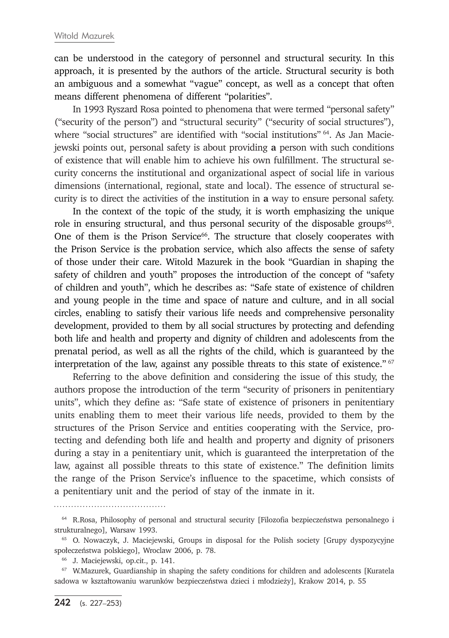can be understood in the category of personnel and structural security. In this approach, it is presented by the authors of the article. Structural security is both an ambiguous and a somewhat "vague" concept, as well as a concept that often means different phenomena of different "polarities".

In 1993 Ryszard Rosa pointed to phenomena that were termed "personal safety" ("security of the person") and "structural security" ("security of social structures"), where "social structures" are identified with "social institutions" 64. As Jan Maciejewski points out, personal safety is about providing **a** person with such conditions of existence that will enable him to achieve his own fulfillment. The structural security concerns the institutional and organizational aspect of social life in various dimensions (international, regional, state and local). The essence of structural security is to direct the activities of the institution in **a** way to ensure personal safety.

In the context of the topic of the study, it is worth emphasizing the unique role in ensuring structural, and thus personal security of the disposable groups<sup>65</sup>. One of them is the Prison Service<sup>66</sup>. The structure that closely cooperates with the Prison Service is the probation service, which also affects the sense of safety of those under their care. Witold Mazurek in the book "Guardian in shaping the safety of children and youth" proposes the introduction of the concept of "safety of children and youth", which he describes as: "Safe state of existence of children and young people in the time and space of nature and culture, and in all social circles, enabling to satisfy their various life needs and comprehensive personality development, provided to them by all social structures by protecting and defending both life and health and property and dignity of children and adolescents from the prenatal period, as well as all the rights of the child, which is guaranteed by the interpretation of the law, against any possible threats to this state of existence." <sup>67</sup>

Referring to the above definition and considering the issue of this study, the authors propose the introduction of the term "security of prisoners in penitentiary units", which they define as: "Safe state of existence of prisoners in penitentiary units enabling them to meet their various life needs, provided to them by the structures of the Prison Service and entities cooperating with the Service, protecting and defending both life and health and property and dignity of prisoners during a stay in a penitentiary unit, which is guaranteed the interpretation of the law, against all possible threats to this state of existence." The definition limits the range of the Prison Service's influence to the spacetime, which consists of a penitentiary unit and the period of stay of the inmate in it.

<sup>64</sup> R.Rosa, Philosophy of personal and structural security [Filozofia bezpieczeństwa personalnego i strukturalnego], Warsaw 1993.

<sup>&</sup>lt;sup>65</sup> O. Nowaczyk, J. Maciejewski, Groups in disposal for the Polish society [Grupy dyspozycyjne społeczeństwa polskiego], Wroclaw 2006, p. 78.

<sup>66</sup> J. Maciejewski, op.cit., p. 141.

<sup>&</sup>lt;sup>67</sup> W.Mazurek, Guardianship in shaping the safety conditions for children and adolescents [Kuratela sadowa w kształtowaniu warunków bezpieczeństwa dzieci i młodzieży], Krakow 2014, p. 55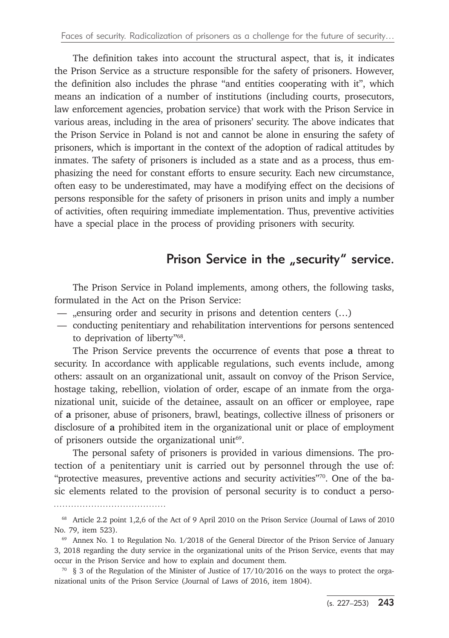The definition takes into account the structural aspect, that is, it indicates the Prison Service as a structure responsible for the safety of prisoners. However, the definition also includes the phrase "and entities cooperating with it", which means an indication of a number of institutions (including courts, prosecutors, law enforcement agencies, probation service) that work with the Prison Service in various areas, including in the area of prisoners' security. The above indicates that the Prison Service in Poland is not and cannot be alone in ensuring the safety of prisoners, which is important in the context of the adoption of radical attitudes by inmates. The safety of prisoners is included as a state and as a process, thus emphasizing the need for constant efforts to ensure security. Each new circumstance, often easy to be underestimated, may have a modifying effect on the decisions of persons responsible for the safety of prisoners in prison units and imply a number of activities, often requiring immediate implementation. Thus, preventive activities have a special place in the process of providing prisoners with security.

## Prison Service in the "security" service.

The Prison Service in Poland implements, among others, the following tasks, formulated in the Act on the Prison Service:

- "ensuring order and security in prisons and detention centers  $(...)$
- conducting penitentiary and rehabilitation interventions for persons sentenced to deprivation of liberty"68.

The Prison Service prevents the occurrence of events that pose **a** threat to security. In accordance with applicable regulations, such events include, among others: assault on an organizational unit, assault on convoy of the Prison Service, hostage taking, rebellion, violation of order, escape of an inmate from the organizational unit, suicide of the detainee, assault on an officer or employee, rape of **a** prisoner, abuse of prisoners, brawl, beatings, collective illness of prisoners or disclosure of **a** prohibited item in the organizational unit or place of employment of prisoners outside the organizational unit<sup>69</sup>.

The personal safety of prisoners is provided in various dimensions. The protection of a penitentiary unit is carried out by personnel through the use of: "protective measures, preventive actions and security activities"70. One of the basic elements related to the provision of personal security is to conduct a perso-

<sup>68</sup> Article 2.2 point 1,2,6 of the Act of 9 April 2010 on the Prison Service (Journal of Laws of 2010 No. 79, item 523).

<sup>69</sup> Annex No. 1 to Regulation No. 1/2018 of the General Director of the Prison Service of January 3, 2018 regarding the duty service in the organizational units of the Prison Service, events that may occur in the Prison Service and how to explain and document them.

 $70\quad$  § 3 of the Regulation of the Minister of Justice of 17/10/2016 on the ways to protect the organizational units of the Prison Service (Journal of Laws of 2016, item 1804).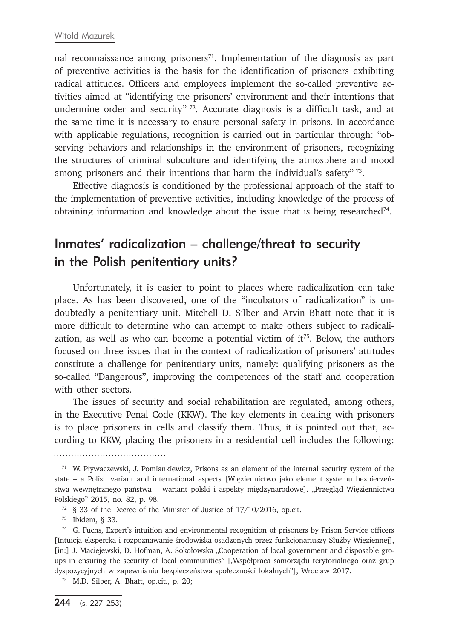nal reconnaissance among prisoners<sup>71</sup>. Implementation of the diagnosis as part of preventive activities is the basis for the identification of prisoners exhibiting radical attitudes. Officers and employees implement the so-called preventive activities aimed at "identifying the prisoners' environment and their intentions that undermine order and security" <sup>72</sup>. Accurate diagnosis is a difficult task, and at the same time it is necessary to ensure personal safety in prisons. In accordance with applicable regulations, recognition is carried out in particular through: "observing behaviors and relationships in the environment of prisoners, recognizing the structures of criminal subculture and identifying the atmosphere and mood among prisoners and their intentions that harm the individual's safety" 73.

Effective diagnosis is conditioned by the professional approach of the staff to the implementation of preventive activities, including knowledge of the process of obtaining information and knowledge about the issue that is being researched74.

## Inmates' radicalization – challenge/threat to security in the Polish penitentiary units?

Unfortunately, it is easier to point to places where radicalization can take place. As has been discovered, one of the "incubators of radicalization" is undoubtedly a penitentiary unit. Mitchell D. Silber and Arvin Bhatt note that it is more difficult to determine who can attempt to make others subject to radicalization, as well as who can become a potential victim of  $it^{75}$ . Below, the authors focused on three issues that in the context of radicalization of prisoners' attitudes constitute a challenge for penitentiary units, namely: qualifying prisoners as the so-called "Dangerous", improving the competences of the staff and cooperation with other sectors.

The issues of security and social rehabilitation are regulated, among others, in the Executive Penal Code (KKW). The key elements in dealing with prisoners is to place prisoners in cells and classify them. Thus, it is pointed out that, according to KKW, placing the prisoners in a residential cell includes the following:

<sup>73</sup> Ibidem, § 33.

<sup>71</sup> W. Pływaczewski, J. Pomiankiewicz, Prisons as an element of the internal security system of the state – a Polish variant and international aspects [Więziennictwo jako element systemu bezpieczeństwa wewnętrznego państwa – wariant polski i aspekty międzynarodowe]. "Przegląd Więziennictwa Polskiego" 2015, no. 82, p. 98.

<sup>72</sup> § 33 of the Decree of the Minister of Justice of 17/10/2016, op.cit.

<sup>74</sup> G. Fuchs, Expert's intuition and environmental recognition of prisoners by Prison Service officers [Intuicja ekspercka i rozpoznawanie środowiska osadzonych przez funkcjonariuszy Służby Więziennej], [in:] J. Maciejewski, D. Hofman, A. Sokołowska "Cooperation of local government and disposable groups in ensuring the security of local communities" ["Współpraca samorządu terytorialnego oraz grup dyspozycyjnych w zapewnianiu bezpieczeństwa społeczności lokalnych"], Wroclaw 2017. 75 M.D. Silber, A. Bhatt, op.cit., p. 20;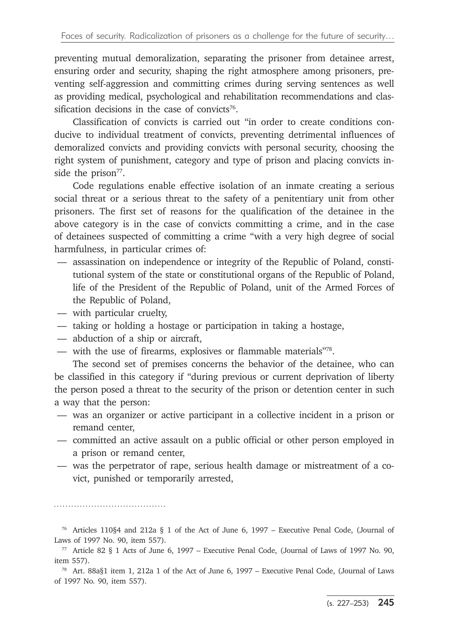preventing mutual demoralization, separating the prisoner from detainee arrest, ensuring order and security, shaping the right atmosphere among prisoners, preventing self-aggression and committing crimes during serving sentences as well as providing medical, psychological and rehabilitation recommendations and classification decisions in the case of convicts<sup>76</sup>.

Classification of convicts is carried out "in order to create conditions conducive to individual treatment of convicts, preventing detrimental influences of demoralized convicts and providing convicts with personal security, choosing the right system of punishment, category and type of prison and placing convicts inside the prison<sup>77</sup>.

Code regulations enable effective isolation of an inmate creating a serious social threat or a serious threat to the safety of a penitentiary unit from other prisoners. The first set of reasons for the qualification of the detainee in the above category is in the case of convicts committing a crime, and in the case of detainees suspected of committing a crime "with a very high degree of social harmfulness, in particular crimes of:

- assassination on independence or integrity of the Republic of Poland, constitutional system of the state or constitutional organs of the Republic of Poland, life of the President of the Republic of Poland, unit of the Armed Forces of the Republic of Poland,
- with particular cruelty,

- taking or holding a hostage or participation in taking a hostage,
- abduction of a ship or aircraft,
- with the use of firearms, explosives or flammable materials"78.

The second set of premises concerns the behavior of the detainee, who can be classified in this category if "during previous or current deprivation of liberty the person posed a threat to the security of the prison or detention center in such a way that the person:

- was an organizer or active participant in a collective incident in a prison or remand center,
- committed an active assault on a public official or other person employed in a prison or remand center,
- was the perpetrator of rape, serious health damage or mistreatment of a covict, punished or temporarily arrested,

<sup>76</sup> Articles 110§4 and 212a § 1 of the Act of June 6, 1997 – Executive Penal Code, (Journal of Laws of 1997 No. 90, item 557).

 $77$  Article 82 § 1 Acts of June 6, 1997 – Executive Penal Code, (Journal of Laws of 1997 No. 90, item 557).

<sup>78</sup> Art. 88a§1 item 1, 212a 1 of the Act of June 6, 1997 – Executive Penal Code, (Journal of Laws of 1997 No. 90, item 557).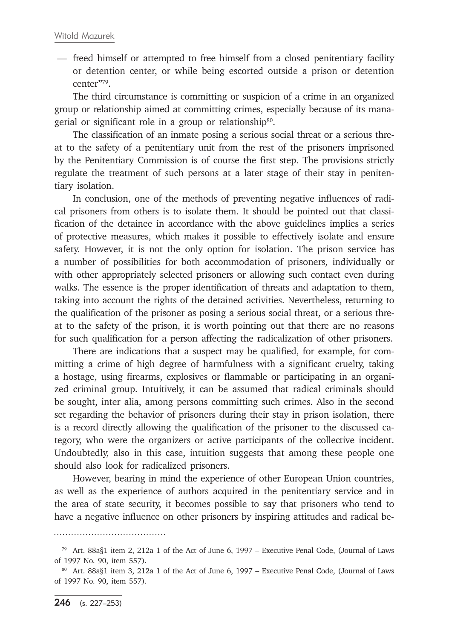— freed himself or attempted to free himself from a closed penitentiary facility or detention center, or while being escorted outside a prison or detention center"79.

The third circumstance is committing or suspicion of a crime in an organized group or relationship aimed at committing crimes, especially because of its managerial or significant role in a group or relationship<sup>80</sup>.

The classification of an inmate posing a serious social threat or a serious threat to the safety of a penitentiary unit from the rest of the prisoners imprisoned by the Penitentiary Commission is of course the first step. The provisions strictly regulate the treatment of such persons at a later stage of their stay in penitentiary isolation.

In conclusion, one of the methods of preventing negative influences of radical prisoners from others is to isolate them. It should be pointed out that classification of the detainee in accordance with the above guidelines implies a series of protective measures, which makes it possible to effectively isolate and ensure safety. However, it is not the only option for isolation. The prison service has a number of possibilities for both accommodation of prisoners, individually or with other appropriately selected prisoners or allowing such contact even during walks. The essence is the proper identification of threats and adaptation to them, taking into account the rights of the detained activities. Nevertheless, returning to the qualification of the prisoner as posing a serious social threat, or a serious threat to the safety of the prison, it is worth pointing out that there are no reasons for such qualification for a person affecting the radicalization of other prisoners.

There are indications that a suspect may be qualified, for example, for committing a crime of high degree of harmfulness with a significant cruelty, taking a hostage, using firearms, explosives or flammable or participating in an organized criminal group. Intuitively, it can be assumed that radical criminals should be sought, inter alia, among persons committing such crimes. Also in the second set regarding the behavior of prisoners during their stay in prison isolation, there is a record directly allowing the qualification of the prisoner to the discussed category, who were the organizers or active participants of the collective incident. Undoubtedly, also in this case, intuition suggests that among these people one should also look for radicalized prisoners.

However, bearing in mind the experience of other European Union countries, as well as the experience of authors acquired in the penitentiary service and in the area of state security, it becomes possible to say that prisoners who tend to have a negative influence on other prisoners by inspiring attitudes and radical be-

<sup>79</sup> Art. 88a§1 item 2, 212a 1 of the Act of June 6, 1997 – Executive Penal Code, (Journal of Laws of 1997 No. 90, item 557).

<sup>80</sup> Art. 88a§1 item 3, 212a 1 of the Act of June 6, 1997 – Executive Penal Code, (Journal of Laws of 1997 No. 90, item 557).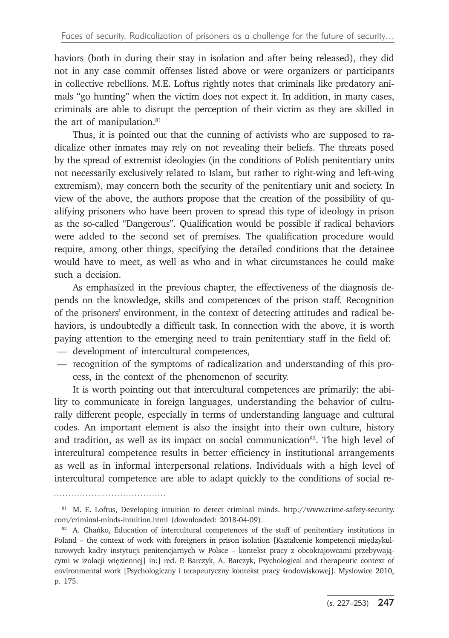haviors (both in during their stay in isolation and after being released), they did not in any case commit offenses listed above or were organizers or participants in collective rebellions. M.E. Loftus rightly notes that criminals like predatory animals "go hunting" when the victim does not expect it. In addition, in many cases, criminals are able to disrupt the perception of their victim as they are skilled in the art of manipulation.<sup>81</sup>

Thus, it is pointed out that the cunning of activists who are supposed to radicalize other inmates may rely on not revealing their beliefs. The threats posed by the spread of extremist ideologies (in the conditions of Polish penitentiary units not necessarily exclusively related to Islam, but rather to right-wing and left-wing extremism), may concern both the security of the penitentiary unit and society. In view of the above, the authors propose that the creation of the possibility of qualifying prisoners who have been proven to spread this type of ideology in prison as the so-called "Dangerous". Qualification would be possible if radical behaviors were added to the second set of premises. The qualification procedure would require, among other things, specifying the detailed conditions that the detainee would have to meet, as well as who and in what circumstances he could make such a decision.

As emphasized in the previous chapter, the effectiveness of the diagnosis depends on the knowledge, skills and competences of the prison staff. Recognition of the prisoners' environment, in the context of detecting attitudes and radical behaviors, is undoubtedly a difficult task. In connection with the above, it is worth paying attention to the emerging need to train penitentiary staff in the field of:

- development of intercultural competences,
- recognition of the symptoms of radicalization and understanding of this process, in the context of the phenomenon of security.

It is worth pointing out that intercultural competences are primarily: the ability to communicate in foreign languages, understanding the behavior of culturally different people, especially in terms of understanding language and cultural codes. An important element is also the insight into their own culture, history and tradition, as well as its impact on social communication $82$ . The high level of intercultural competence results in better efficiency in institutional arrangements as well as in informal interpersonal relations. Individuals with a high level of intercultural competence are able to adapt quickly to the conditions of social re-

<sup>81</sup> M. E. Loftus, Developing intuition to detect criminal minds. http://www.crime-safety-security. com/criminal-minds-intuition.html (downloaded: 2018-04-09).

<sup>82</sup> A. Chańko, Education of intercultural competences of the staff of penitentiary institutions in Poland – the context of work with foreigners in prison isolation [Kształcenie kompetencji międzykulturowych kadry instytucji penitencjarnych w Polsce – kontekst pracy z obcokrajowcami przebywającymi w izolacji więziennej] in:] red. P. Barczyk, A. Barczyk, Psychological and therapeutic context of environmental work [Psychologiczny i terapeutyczny kontekst pracy środowiskowej]. Myslowice 2010, p. 175.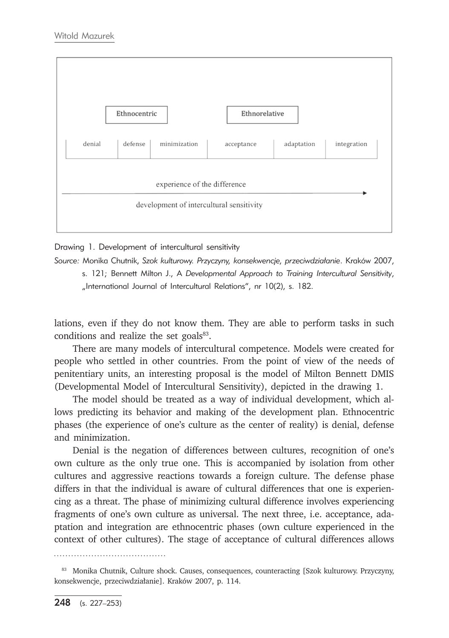

Drawing 1. Development of intercultural sensitivity

*Source:* Monika Chutnik, *Szok kulturowy. Przyczyny, konsekwencje, przeciwdziałanie*. Kraków 2007, s. 121; Bennett Milton J., A *Developmental Approach to Training Intercultural Sensitivity*, "International Journal of Intercultural Relations", nr 10(2), s. 182.

lations, even if they do not know them. They are able to perform tasks in such conditions and realize the set goals<sup>83</sup>.

There are many models of intercultural competence. Models were created for people who settled in other countries. From the point of view of the needs of penitentiary units, an interesting proposal is the model of Milton Bennett DMIS (Developmental Model of Intercultural Sensitivity), depicted in the drawing 1.

The model should be treated as a way of individual development, which allows predicting its behavior and making of the development plan. Ethnocentric phases (the experience of one's culture as the center of reality) is denial, defense and minimization.

Denial is the negation of differences between cultures, recognition of one's own culture as the only true one. This is accompanied by isolation from other cultures and aggressive reactions towards a foreign culture. The defense phase differs in that the individual is aware of cultural differences that one is experiencing as a threat. The phase of minimizing cultural difference involves experiencing fragments of one's own culture as universal. The next three, i.e. acceptance, adaptation and integration are ethnocentric phases (own culture experienced in the context of other cultures). The stage of acceptance of cultural differences allows

. . . . . . . . . . . . . .

<sup>83</sup> Monika Chutnik, Culture shock. Causes, consequences, counteracting [Szok kulturowy. Przyczyny, konsekwencje, przeciwdziałanie]. Kraków 2007, p. 114.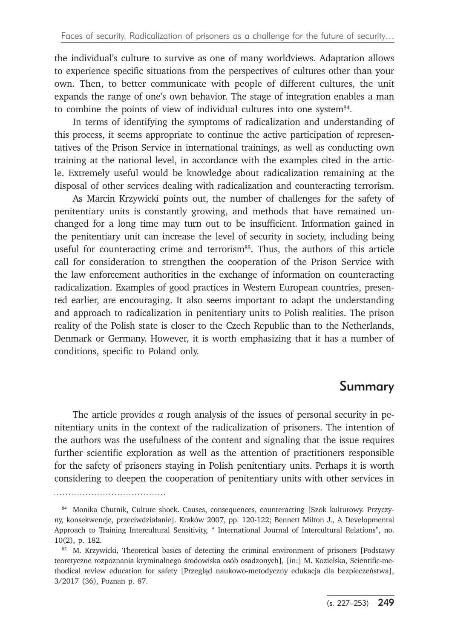the individual's culture to survive as one of many worldviews. Adaptation allows to experience specific situations from the perspectives of cultures other than your own. Then, to better communicate with people of different cultures, the unit expands the range of one's own behavior. The stage of integration enables a man to combine the points of view of individual cultures into one system<sup>84</sup>.

In terms of identifying the symptoms of radicalization and understanding of this process, it seems appropriate to continue the active participation of representatives of the Prison Service in international trainings, as well as conducting own training at the national level, in accordance with the examples cited in the article. Extremely useful would be knowledge about radicalization remaining at the disposal of other services dealing with radicalization and counteracting terrorism.

As Marcin Krzywicki points out, the number of challenges for the safety of penitentiary units is constantly growing, and methods that have remained unchanged for a long time may turn out to be insufficient. Information gained in the penitentiary unit can increase the level of security in society, including being useful for counteracting crime and terrorism $85$ . Thus, the authors of this article call for consideration to strengthen the cooperation of the Prison Service with the law enforcement authorities in the exchange of information on counteracting radicalization. Examples of good practices in Western European countries, presented earlier, are encouraging. It also seems important to adapt the understanding and approach to radicalization in penitentiary units to Polish realities. The prison reality of the Polish state is closer to the Czech Republic than to the Netherlands, Denmark or Germany. However, it is worth emphasizing that it has a number of conditions, specific to Poland only.

### Summary

The article provides *a* rough analysis of the issues of personal security in penitentiary units in the context of the radicalization of prisoners. The intention of the authors was the usefulness of the content and signaling that the issue requires further scientific exploration as well as the attention of practitioners responsible for the safety of prisoners staying in Polish penitentiary units. Perhaps it is worth considering to deepen the cooperation of penitentiary units with other services in

<sup>84</sup> Monika Chutnik, Culture shock. Causes, consequences, counteracting [Szok kulturowy. Przyczyny, konsekwencje, przeciwdziałanie]. Kraków 2007, pp. 120-122; Bennett Milton J., A Developmental Approach to Training Intercultural Sensitivity, " International Journal of Intercultural Relations", no. 10(2), p. 182.

<sup>85</sup> M. Krzywicki, Theoretical basics of detecting the criminal environment of prisoners [Podstawy teoretyczne rozpoznania kryminalnego środowiska osób osadzonych], [in:] M. Kozielska, Scientific-methodical review education for safety [Przegląd naukowo-metodyczny edukacja dla bezpieczeństwa], 3/2017 (36), Poznan p. 87.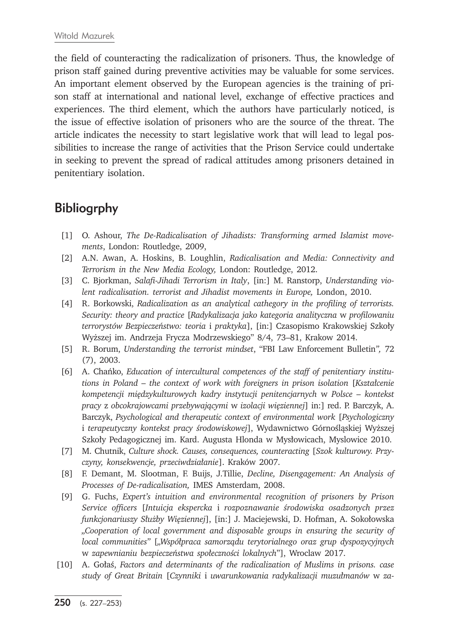the field of counteracting the radicalization of prisoners. Thus, the knowledge of prison staff gained during preventive activities may be valuable for some services. An important element observed by the European agencies is the training of prison staff at international and national level, exchange of effective practices and experiences. The third element, which the authors have particularly noticed, is the issue of effective isolation of prisoners who are the source of the threat. The article indicates the necessity to start legislative work that will lead to legal possibilities to increase the range of activities that the Prison Service could undertake in seeking to prevent the spread of radical attitudes among prisoners detained in penitentiary isolation.

## **Bibliogrphy**

- [1] O. Ashour, *The De-Radicalisation of Jihadists: Transforming armed Islamist movements*, London: Routledge, 2009,
- [2] A.N. Awan, A. Hoskins, B. Loughlin, *Radicalisation and Media: Connectivity and Terrorism in the New Media Ecology,* London: Routledge, 2012.
- [3] C. Bjorkman, *Salafi-Jihadi Terrorism in Italy*, [in:] M. Ranstorp, *Understanding violent radicalisation. terrorist and Jihadist movements in Europe,* London, 2010.
- [4] R. Borkowski, *Radicalization as an analytical cathegory in the profiling of terrorists. Security: theory and practice* [*Radykalizacja jako kategoria analityczna* w *profilowaniu terrorystów Bezpieczeństwo: teoria* i *praktyka*], [in:] Czasopismo Krakowskiej Szkoły Wyższej im. Andrzeja Frycza Modrzewskiego" 8/4, 73–81, Krakow 2014.
- [5] R. Borum, *Understanding the terrorist mindset*, "FBI Law Enforcement Bulletin*",* 72 (7), 2003.
- [6] A. Chańko, *Education of intercultural competences of the staff of penitentiary institutions in Poland – the context of work with foreigners in prison isolation* [*Kształcenie kompetencji międzykulturowych kadry instytucji penitencjarnych* w *Polsce – kontekst pracy* z *obcokrajowcami przebywającymi* w *izolacji więziennej*] in:] red. P. Barczyk, A. Barczyk, *Psychological and therapeutic context of environmental work* [*Psychologiczny* i *terapeutyczny kontekst pracy środowiskowej*], Wydawnictwo Górnośląskiej Wyższej Szkoły Pedagogicznej im. Kard. Augusta Hlonda w Mysłowicach, Myslowice 2010.
- [7] M. Chutnik, *Culture shock. Causes, consequences, counteracting* [*Szok kulturowy. Przyczyny, konsekwencje, przeciwdziałanie*]. Kraków 2007.
- [8] F. Demant, M. Slootman, F. Buijs, J.Tillie, *Decline, Disengagement: An Analysis of Processes of De-radicalisation,* IMES Amsterdam, 2008.
- [9] G. Fuchs, *Expert's intuition and environmental recognition of prisoners by Prison Service officers* [*Intuicja ekspercka* i *rozpoznawanie środowiska osadzonych przez funkcjonariuszy Służby Więziennej*], [in:] J. Maciejewski, D. Hofman, A. Sokołowska *"Cooperation of local government and disposable groups in ensuring the security of local communities"* [*"Współpraca samorządu terytorialnego oraz grup dyspozycyjnych* w *zapewnianiu bezpieczeństwa społeczności lokalnych*"], Wroclaw 2017.
- [10] A. Gołaś, *Factors and determinants of the radicalization of Muslims in prisons. case study of Great Britain* [*Czynniki* i *uwarunkowania radykalizacji muzułmanów* w *za-*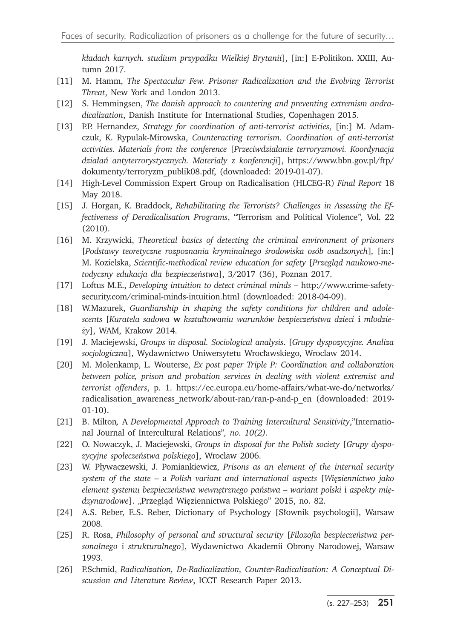*kładach karnych. studium przypadku Wielkiej Brytanii*], [in:] E-Politikon. XXIII, Autumn 2017.

- [11] M. Hamm, *The Spectacular Few. Prisoner Radicalization and the Evolving Terrorist Threat*, New York and London 2013.
- [12] S. Hemmingsen, *The danish approach to countering and preventing extremism andradicalization*, Danish Institute for International Studies, Copenhagen 2015.
- [13] P.P. Hernandez, *Strategy for coordination of anti-terrorist activities*, [in:] M. Adamczuk, K. Rypulak-Mirowska, *Counteracting terrorism. Coordination of anti-terrorist activities. Materials from the conference* [*Przeciwdziałanie terroryzmowi. Koordynacja działań antyterrorystycznych. Materiały* z *konferencji*], https://www.bbn.gov.pl/ftp/ dokumenty/terroryzm\_publik08.pdf, (downloaded: 2019-01-07).
- [14] High-Level Commission Expert Group on Radicalisation (HLCEG-R) *Final Report* 18 May 2018.
- [15] J. Horgan, K. Braddock, *Rehabilitating the Terrorists? Challenges in Assessing the Effectiveness of Deradicalisation Programs*, "Terrorism and Political Violence*",* Vol. 22 (2010).
- [16] M. Krzywicki, *Theoretical basics of detecting the criminal environment of prisoners*  [*Podstawy teoretyczne rozpoznania kryminalnego środowiska osób osadzonych*]*,* [in:] M. Kozielska, *Scientific-methodical review education for safety* [*Przegląd naukowo-metodyczny edukacja dla bezpieczeństwa*], 3/2017 (36), Poznan 2017.
- [17] Loftus M.E., *Developing intuition to detect criminal minds* http://www.crime-safetysecurity.com/criminal-minds-intuition.html (downloaded: 2018-04-09).
- [18] W.Mazurek, *Guardianship in shaping the safety conditions for children and adolescents* [*Kuratela sadowa* **w** *kształtowaniu warunków bezpieczeństwa dzieci* **i** *młodzieży*], WAM, Krakow 2014.
- [19] J. Maciejewski, *Groups in disposal. Sociological analysis*. [*Grupy dyspozycyjne. Analiza socjologiczna*], Wydawnictwo Uniwersytetu Wrocławskiego, Wroclaw 2014.
- [20] M. Molenkamp, L. Wouterse, *Ex post paper Triple P: Coordination and collaboration between police, prison and probation services in dealing with violent extremist and terrorist offenders*, p. 1. https://ec.europa.eu/home-affairs/what-we-do/networks/ radicalisation awareness network/about-ran/ran-p-and-p\_en (downloaded: 2019-01-10).
- [21] B. Milton*,* A *Developmental Approach to Training Intercultural Sensitivity*,"International Journal of Intercultural Relations"*, no. 10(2).*
- [22] O. Nowaczyk, J. Maciejewski, *Groups in disposal for the Polish society* [*Grupy dyspozycyjne społeczeństwa polskiego*], Wroclaw 2006.
- [23] W. Pływaczewski, J. Pomiankiewicz, *Prisons as an element of the internal security system of the state –* a *Polish variant and international aspects* [*Więziennictwo jako element systemu bezpieczeństwa wewnętrznego państwa – wariant polski* i *aspekty mię*dzynarodowe]. "Przegląd Więziennictwa Polskiego" 2015, no. 82.
- [24] A.S. Reber, E.S. Reber, Dictionary of Psychology [Słownik psychologii], Warsaw 2008.
- [25] R. Rosa, *Philosophy of personal and structural security* [*Filozofia bezpieczeństwa personalnego* i *strukturalnego*], Wydawnictwo Akademii Obrony Narodowej, Warsaw 1993.
- [26] P.Schmid, *Radicalization, De-Radicalization, Counter-Radicalization: A Conceptual Discussion and Literature Review*, ICCT Research Paper 2013.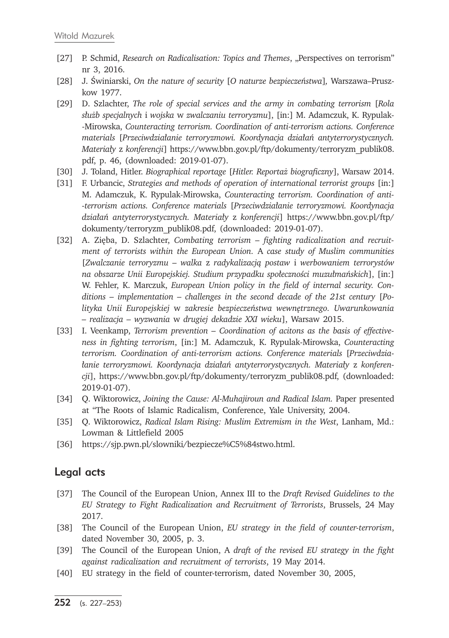- [27] P. Schmid, *Research on Radicalisation: Topics and Themes*, "Perspectives on terrorism" nr 3, 2016.
- [28] J. Świniarski, *On the nature of security* [*O naturze bezpieczeństwa*]*,* Warszawa–Pruszkow 1977.
- [29] D. Szlachter, *The role of special services and the army in combating terrorism* [*Rola służb specjalnych* i *wojska* w *zwalczaniu terroryzmu*], [in:] M. Adamczuk, K. Rypulak- -Mirowska, *Counteracting terrorism. Coordination of anti-terrorism actions. Conference materials* [*Przeciwdziałanie terroryzmowi. Koordynacja działań antyterrorystycznych. Materiały* z *konferencji*] https://www.bbn.gov.pl/ftp/dokumenty/terroryzm\_publik08. pdf, p. 46, (downloaded: 2019-01-07).
- [30] J. Toland, Hitler. *Biographical reportage* [*Hitler. Reportaż biograficzny*], Warsaw 2014.
- [31] F. Urbancic, *Strategies and methods of operation of international terrorist groups* [in:] M. Adamczuk, K. Rypulak-Mirowska, *Counteracting terrorism. Coordination of anti- -terrorism actions. Conference materials* [*Przeciwdziałanie terroryzmowi. Koordynacja działań antyterrorystycznych. Materiały* z *konferencji*] https://www.bbn.gov.pl/ftp/ dokumenty/terroryzm\_publik08.pdf, (downloaded: 2019-01-07).
- [32] A. Zięba, D. Szlachter, *Combating terrorism fighting radicalization and recruitment of terrorists within the European Union.* A *case study of Muslim communities* [*Zwalczanie terroryzmu – walka* z *radykalizacją postaw* i *werbowaniem terrorystów na obszarze Unii Europejskiej. Studium przypadku społeczności muzułmańskich*], [in:] W. Fehler, K. Marczuk, *European Union policy in the field of internal security. Conditions – implementation – challenges in the second decade of the 21st century* [*Polityka Unii Europejskiej* w *zakresie bezpieczeństwa wewnętrznego. Uwarunkowania – realizacja – wyzwania* w *drugiej dekadzie XXI wieku*], Warsaw 2015.
- [33] I. Veenkamp, *Terrorism prevention Coordination of acitons as the basis of effectiveness in fighting terrorism*, [in:] M. Adamczuk, K. Rypulak-Mirowska, *Counteracting terrorism. Coordination of anti-terrorism actions. Conference materials* [*Przeciwdziałanie terroryzmowi. Koordynacja działań antyterrorystycznych. Materiały* z *konferencji*], https://www.bbn.gov.pl/ftp/dokumenty/terroryzm\_publik08.pdf, (downloaded: 2019-01-07).
- [34] Q. Wiktorowicz, *Joining the Cause: Al-Muhajiroun and Radical Islam.* Paper presented at "The Roots of Islamic Radicalism, Conference, Yale University, 2004.
- [35] Q. Wiktorowicz, *Radical Islam Rising: Muslim Extremism in the West*, Lanham, Md.: Lowman & Littlefield 2005
- [36] https://sjp.pwn.pl/slowniki/bezpiecze%C5%84stwo.html.

#### Legal acts

- [37] The Council of the European Union, Annex III to the *Draft Revised Guidelines to the EU Strategy to Fight Radicalization and Recruitment of Terrorists*, Brussels, 24 May 2017.
- [38] The Council of the European Union, *EU strategy in the field of counter-terrorism*, dated November 30, 2005, p. 3.
- [39] The Council of the European Union, A *draft of the revised EU strategy in the fight against radicalization and recruitment of terrorists*, 19 May 2014.
- [40] EU strategy in the field of counter-terrorism, dated November 30, 2005,